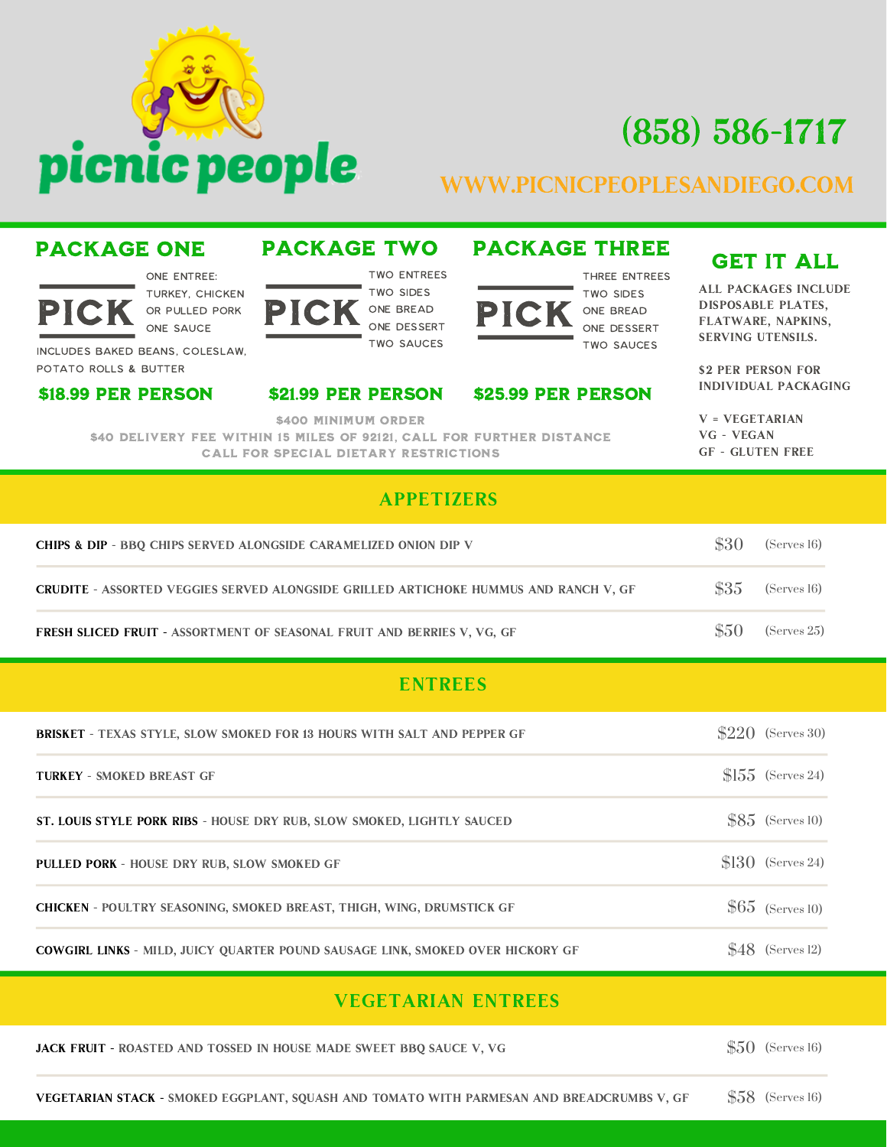

# (858) 586-1717

## www.picnicpeoplesandiego.com

### PICK OR PULLED PORK PICK ONE BREAD PICK ON two entrees two sides one bread one dessert two sauces one Entree: Turkey, Chicken or Pulled Pork One Sauce Includes Baked Beans, Coleslaw,

### Potato Rolls & Butter

PACKAGE ONE

### \$18.99 PER PERSON \$21.99 PER PERSON \$25.99 PER PERSON

PACKAGE TWO PACKAGE THREE GET IT ALL

### three entrees

two sides one bread one dessert two sauces

All Packages Include Disposable Plates, Flatware, Napkins, Serving Utensils.

\$2 PER PERSON FOR individual packaging

 $V = VEGETARIAN$ vg - vegan GF - Gluten Free

\$400 MINIMUM ORDER

\$40 Delivery Fee within 15 miles of 92121, Call for further distance Call for special dietary restrictions

### APPETIZERS

| <b>CHIPS &amp; DIP - BBO CHIPS SERVED ALONGSIDE CARAMELIZED ONION DIP V</b>          |       | (Serves 16) |
|--------------------------------------------------------------------------------------|-------|-------------|
| CRUDITE - ASSORTED VEGGIES SERVED ALONGSIDE GRILLED ARTICHOKE HUMMUS AND RANCH V, GF | \$35  | (Serves 16) |
| <b>FRESH SLICED FRUIT - ASSORTMENT OF SEASONAL FRUIT AND BERRIES V, VG, GF</b>       | \$5() | (Serves 25) |

### ENTREES

| <b>BRISKET - TEXAS STYLE, SLOW SMOKED FOR 13 HOURS WITH SALT AND PEPPER GF</b>        | $$220$ (Serves 30)        |
|---------------------------------------------------------------------------------------|---------------------------|
| <b>TURKEY - SMOKED BREAST GF</b>                                                      | $ 55 \rangle$ (Serves 24) |
| ST. LOUIS STYLE PORK RIBS - HOUSE DRY RUB, SLOW SMOKED, LIGHTLY SAUCED                | $$85$ (Serves 10)         |
| <b>PULLED PORK - HOUSE DRY RUB. SLOW SMOKED GF</b>                                    | $$130$ (Serves 24)        |
| <b>CHICKEN - POULTRY SEASONING, SMOKED BREAST, THIGH, WING, DRUMSTICK GF</b>          | $$65$ (Serves 10)         |
| <b>COWGIRL LINKS - MILD, JUICY OUARTER POUND SAUSAGE LINK, SMOKED OVER HICKORY GF</b> | $48$ (Serves 12)          |

### VEGETARIAN ENTREES

| <b>JACK FRUIT - ROASTED AND TOSSED IN HOUSE MADE SWEET BBO SAUCE V, VG</b> | $$50$ (Serves 16) |  |  |
|----------------------------------------------------------------------------|-------------------|--|--|
|----------------------------------------------------------------------------|-------------------|--|--|

(Serves 16) \$58 Vegetarian Stack - Smoked eggplant, squash and tomato with parmesan and breadcrumbs V, GF